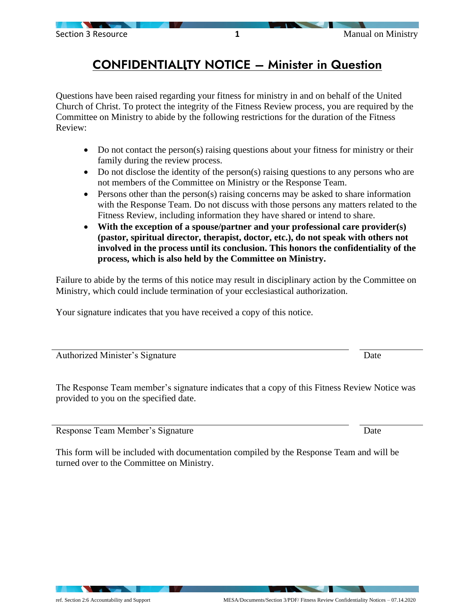## CONFIDENTIALITY NOTICE – Minister in Question

Questions have been raised regarding your fitness for ministry in and on behalf of the United Church of Christ. To protect the integrity of the Fitness Review process, you are required by the Committee on Ministry to abide by the following restrictions for the duration of the Fitness Review:

- Do not contact the person(s) raising questions about your fitness for ministry or their family during the review process.
- Do not disclose the identity of the person(s) raising questions to any persons who are not members of the Committee on Ministry or the Response Team.
- Persons other than the person(s) raising concerns may be asked to share information with the Response Team. Do not discuss with those persons any matters related to the Fitness Review, including information they have shared or intend to share.
- **With the exception of a spouse/partner and your professional care provider(s) (pastor, spiritual director, therapist, doctor, etc.), do not speak with others not involved in the process until its conclusion. This honors the confidentiality of the process, which is also held by the Committee on Ministry.**

Failure to abide by the terms of this notice may result in disciplinary action by the Committee on Ministry, which could include termination of your ecclesiastical authorization.

Your signature indicates that you have received a copy of this notice.

Authorized Minister's Signature Date

The Response Team member's signature indicates that a copy of this Fitness Review Notice was provided to you on the specified date.

Response Team Member's Signature Date

This form will be included with documentation compiled by the Response Team and will be turned over to the Committee on Ministry.

Section 3 Resource **1 1** Manual on Ministry